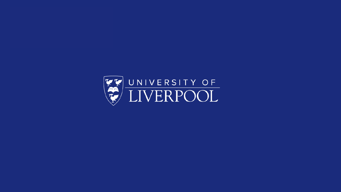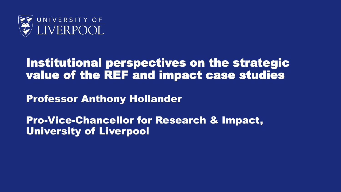

#### Institutional perspectives on the strategic value of the REF and impact case studies

Professor Anthony Hollander

Pro-Vice-Chancellor for Research & Impact, University of Liverpool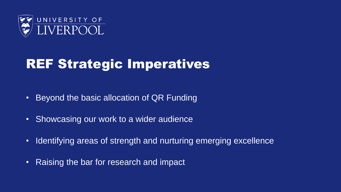

# REF Strategic Imperatives

- Beyond the basic allocation of QR Funding
- Showcasing our work to a wider audience
- Identifying areas of strength and nurturing emerging excellence
- Raising the bar for research and impact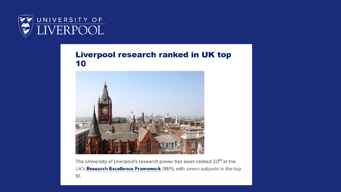

#### **Liverpool research ranked in UK top** 10



The University of Liverpool's research power has been ranked 20<sup>th</sup> in the UK's Research Excellence Framework (REF), with seven subjects in the top 10.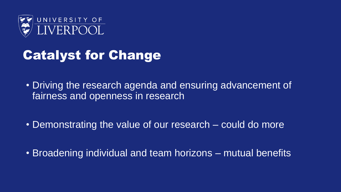

# Catalyst for Change

- Driving the research agenda and ensuring advancement of fairness and openness in research
- Demonstrating the value of our research could do more
- Broadening individual and team horizons mutual benefits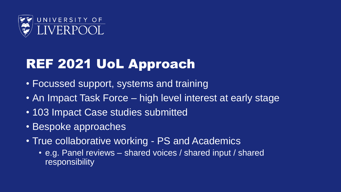

# REF 2021 UoL Approach

- Focussed support, systems and training
- An Impact Task Force high level interest at early stage
- 103 Impact Case studies submitted
- Bespoke approaches
- True collaborative working PS and Academics
	- e.g. Panel reviews shared voices / shared input / shared **responsibility**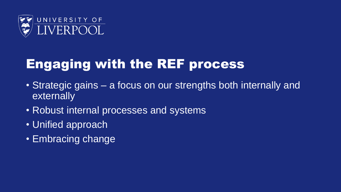

# Engaging with the REF process

- Strategic gains a focus on our strengths both internally and externally
- Robust internal processes and systems
- Unified approach
- Embracing change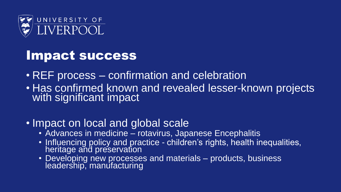

#### Impact success

- REF process confirmation and celebration
- Has confirmed known and revealed lesser-known projects with significant impact

#### • Impact on local and global scale

- Advances in medicine rotavirus, Japanese Encephalitis
- Influencing policy and practice children's rights, health inequalities, heritage and preservation
- Developing new processes and materials products, business leadership, manufacturing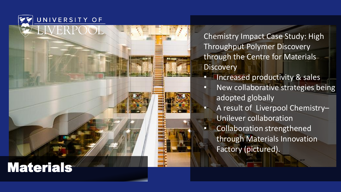UNIVERSITY OF

LIVERPOOL

Chemistry Impact Case Study: High Throughput Polymer Discovery through the Centre for Materials **Discovery** 

- Increased productivity & sales
- New collaborative strategies being adopted globally
- A result of Liverpool Chemistry Unilever collaboration • Collaboration strengthened through Materials Innovation Factory (pictured).

 $"$ 

#### Materials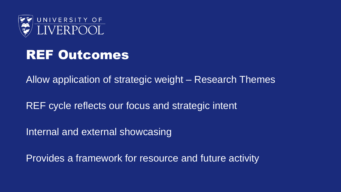

### REF Outcomes

Allow application of strategic weight – Research Themes

REF cycle reflects our focus and strategic intent

Internal and external showcasing

Provides a framework for resource and future activity